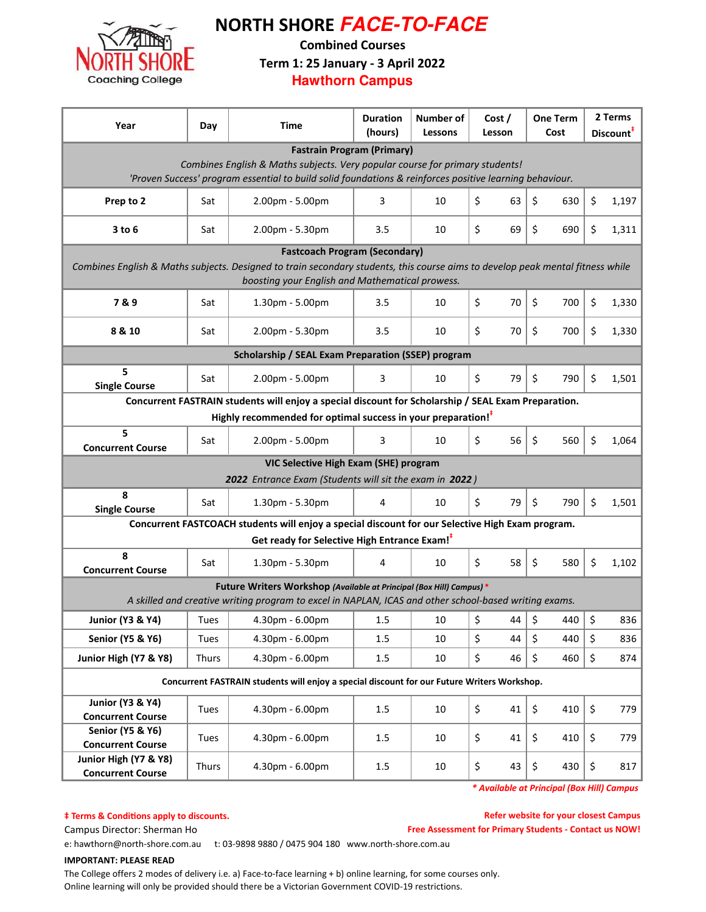

# NORTH SHORE **FACE-TO-FACE**

Combined Courses

Term 1: 25 January - 3 April 2022

**Hawthorn Campus**

| Year                                                                                                                                                                              | Day   | <b>Time</b>                                                                                           | <b>Duration</b><br>(hours) | Number of<br>Lessons | Cost /<br>Lesson | <b>One Term</b><br>Cost | 2 Terms<br>Discount <sup>#</sup> |  |  |  |  |
|-----------------------------------------------------------------------------------------------------------------------------------------------------------------------------------|-------|-------------------------------------------------------------------------------------------------------|----------------------------|----------------------|------------------|-------------------------|----------------------------------|--|--|--|--|
| <b>Fastrain Program (Primary)</b>                                                                                                                                                 |       |                                                                                                       |                            |                      |                  |                         |                                  |  |  |  |  |
| Combines English & Maths subjects. Very popular course for primary students!                                                                                                      |       |                                                                                                       |                            |                      |                  |                         |                                  |  |  |  |  |
| 'Proven Success' program essential to build solid foundations & reinforces positive learning behaviour.                                                                           |       |                                                                                                       |                            |                      |                  |                         |                                  |  |  |  |  |
| Prep to 2                                                                                                                                                                         | Sat   | 2.00pm - 5.00pm                                                                                       | 3                          | 10                   | \$<br>63         | \$<br>630               | \$<br>1,197                      |  |  |  |  |
| $3$ to $6$                                                                                                                                                                        | Sat   | 2.00pm - 5.30pm                                                                                       | 3.5                        | 10                   | \$<br>69         | \$<br>690               | \$<br>1,311                      |  |  |  |  |
| <b>Fastcoach Program (Secondary)</b>                                                                                                                                              |       |                                                                                                       |                            |                      |                  |                         |                                  |  |  |  |  |
| Combines English & Maths subjects. Designed to train secondary students, this course aims to develop peak mental fitness while<br>boosting your English and Mathematical prowess. |       |                                                                                                       |                            |                      |                  |                         |                                  |  |  |  |  |
| 7&9                                                                                                                                                                               | Sat   | 1.30pm - 5.00pm                                                                                       | 3.5                        | 10                   | \$<br>70         | \$<br>700               | \$<br>1,330                      |  |  |  |  |
| 8 & 10                                                                                                                                                                            | Sat   | 2.00pm - 5.30pm                                                                                       | 3.5                        | 10                   | \$<br>70         | \$<br>700               | \$<br>1,330                      |  |  |  |  |
| <b>Scholarship / SEAL Exam Preparation (SSEP) program</b>                                                                                                                         |       |                                                                                                       |                            |                      |                  |                         |                                  |  |  |  |  |
| 5<br><b>Single Course</b>                                                                                                                                                         | Sat   | 2.00pm - 5.00pm                                                                                       | 3                          | 10                   | \$<br>79         | \$<br>790               | \$<br>1,501                      |  |  |  |  |
| Concurrent FASTRAIN students will enjoy a special discount for Scholarship / SEAL Exam Preparation.                                                                               |       |                                                                                                       |                            |                      |                  |                         |                                  |  |  |  |  |
|                                                                                                                                                                                   |       | Highly recommended for optimal success in your preparation! <sup>#</sup>                              |                            |                      |                  |                         |                                  |  |  |  |  |
| 5<br><b>Concurrent Course</b>                                                                                                                                                     | Sat   | 2.00pm - 5.00pm                                                                                       | 3                          | 10                   | 56<br>\$         | \$<br>560               | \$<br>1,064                      |  |  |  |  |
| VIC Selective High Exam (SHE) program                                                                                                                                             |       |                                                                                                       |                            |                      |                  |                         |                                  |  |  |  |  |
|                                                                                                                                                                                   |       | 2022 Entrance Exam (Students will sit the exam in 2022)                                               |                            |                      |                  |                         |                                  |  |  |  |  |
| 8<br><b>Single Course</b>                                                                                                                                                         | Sat   | 1.30pm - 5.30pm                                                                                       | 4                          | 10                   | \$<br>79         | \$<br>790               | \$<br>1,501                      |  |  |  |  |
|                                                                                                                                                                                   |       | Concurrent FASTCOACH students will enjoy a special discount for our Selective High Exam program.      |                            |                      |                  |                         |                                  |  |  |  |  |
| Get ready for Selective High Entrance Exam! <sup>#</sup>                                                                                                                          |       |                                                                                                       |                            |                      |                  |                         |                                  |  |  |  |  |
| 8<br><b>Concurrent Course</b>                                                                                                                                                     | Sat   | 1.30pm - 5.30pm                                                                                       | 4                          | 10                   | \$<br>58         | \$<br>580               | \$<br>1,102                      |  |  |  |  |
|                                                                                                                                                                                   |       | Future Writers Workshop (Available at Principal (Box Hill) Campus) *                                  |                            |                      |                  |                         |                                  |  |  |  |  |
|                                                                                                                                                                                   |       | A skilled and creative writing program to excel in NAPLAN, ICAS and other school-based writing exams. |                            |                      |                  |                         |                                  |  |  |  |  |
| <b>Junior (Y3 &amp; Y4)</b>                                                                                                                                                       | Tues  | 4.30pm - 6.00pm                                                                                       | 1.5                        | 10                   | \$<br>44         | \$<br>440               | $\zeta$<br>836                   |  |  |  |  |
| <b>Senior (Y5 &amp; Y6)</b>                                                                                                                                                       | Tues  | 4.30pm - 6.00pm                                                                                       | 1.5                        | 10                   | \$<br>44         | \$<br>440               | \$<br>836                        |  |  |  |  |
| Junior High (Y7 & Y8)                                                                                                                                                             | Thurs | 4.30pm - 6.00pm                                                                                       | 1.5                        | 10                   | \$<br>46         | \$<br>460               | \$<br>874                        |  |  |  |  |
| Concurrent FASTRAIN students will enjoy a special discount for our Future Writers Workshop.                                                                                       |       |                                                                                                       |                            |                      |                  |                         |                                  |  |  |  |  |
| <b>Junior (Y3 &amp; Y4)</b><br><b>Concurrent Course</b>                                                                                                                           | Tues  | 4.30pm - 6.00pm                                                                                       | 1.5                        | 10                   | \$<br>41         | \$<br>410               | \$<br>779                        |  |  |  |  |
| <b>Senior (Y5 &amp; Y6)</b><br><b>Concurrent Course</b>                                                                                                                           | Tues  | 4.30pm - 6.00pm                                                                                       | 1.5                        | 10                   | \$<br>41         | \$<br>410               | \$<br>779                        |  |  |  |  |
| Junior High (Y7 & Y8)<br><b>Concurrent Course</b>                                                                                                                                 | Thurs | 4.30pm - 6.00pm                                                                                       | 1.5                        | 10                   | \$<br>43         | \$<br>430               | \$<br>817                        |  |  |  |  |

\* Available at Principal (Box Hill) Campus

### $\dagger$  Terms & Conditions apply to discounts.

Refer website for your closest Campus

Campus Director: Sherman Ho **Free Assessment for Primary Students - Contact us NOW!** 

e: hawthorn@north-shore.com.au t: 03-9898 9880 / 0475 904 180 www.north-shore.com.au

### IMPORTANT: PLEASE READ

The College offers 2 modes of delivery i.e. a) Face-to-face learning + b) online learning, for some courses only. Online learning will only be provided should there be a Victorian Government COVID-19 restrictions.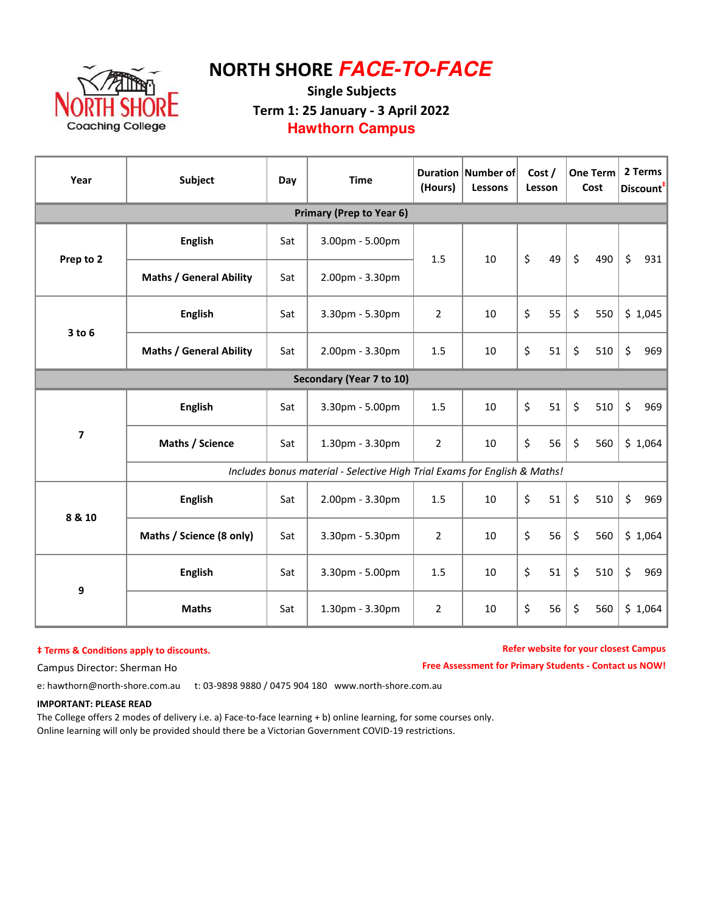

# NORTH SHORE **FACE-TO-FACE**

### Single Subjects Term 1: 25 January - 3 April 2022 **Hawthorn Campus**

| Year                     | <b>Subject</b>                                                            | Day | <b>Time</b>     | (Hours)        | Duration Number of<br>Lessons | Cost /<br>Lesson | <b>One Term</b><br>Cost |     | 2 Terms<br>Discount <sup>#</sup> |  |  |
|--------------------------|---------------------------------------------------------------------------|-----|-----------------|----------------|-------------------------------|------------------|-------------------------|-----|----------------------------------|--|--|
|                          | Primary (Prep to Year 6)                                                  |     |                 |                |                               |                  |                         |     |                                  |  |  |
| Prep to 2                | <b>English</b>                                                            | Sat | 3.00pm - 5.00pm | 1.5            | 10                            | \$<br>49         | $\zeta$                 | 490 | $\zeta$<br>931                   |  |  |
|                          | <b>Maths / General Ability</b>                                            | Sat | 2.00pm - 3.30pm |                |                               |                  |                         |     |                                  |  |  |
| $3$ to $6$               | <b>English</b>                                                            | Sat | 3.30pm - 5.30pm | $\overline{2}$ | 10                            | \$<br>55         | $\zeta$                 | 550 | \$1,045                          |  |  |
|                          | <b>Maths / General Ability</b>                                            | Sat | 2.00pm - 3.30pm | 1.5            | 10                            | \$<br>51         | $\zeta$                 | 510 | \$<br>969                        |  |  |
| Secondary (Year 7 to 10) |                                                                           |     |                 |                |                               |                  |                         |     |                                  |  |  |
| $\overline{\mathbf{z}}$  | <b>English</b>                                                            | Sat | 3.30pm - 5.00pm | 1.5            | 10                            | \$<br>51         | $\zeta$                 | 510 | \$<br>969                        |  |  |
|                          | Maths / Science                                                           | Sat | 1.30pm - 3.30pm | $\overline{2}$ | 10                            | \$<br>56         | \$                      | 560 | \$1,064                          |  |  |
|                          | Includes bonus material - Selective High Trial Exams for English & Maths! |     |                 |                |                               |                  |                         |     |                                  |  |  |
| 8 & 10                   | <b>English</b>                                                            | Sat | 2.00pm - 3.30pm | 1.5            | 10                            | \$<br>51         | \$                      | 510 | \$<br>969                        |  |  |
|                          | Maths / Science (8 only)                                                  | Sat | 3.30pm - 5.30pm | $\overline{2}$ | 10                            | \$<br>56         | $\zeta$                 | 560 | \$1,064                          |  |  |
| 9                        | <b>English</b>                                                            | Sat | 3.30pm - 5.00pm | 1.5            | 10                            | \$<br>51         | $\zeta$                 | 510 | \$<br>969                        |  |  |
|                          | <b>Maths</b>                                                              | Sat | 1.30pm - 3.30pm | $\overline{2}$ | 10                            | \$<br>56         | $\zeta$                 | 560 | \$1,064                          |  |  |

### $‡$  Terms & Conditions apply to discounts.

Refer website for your closest Campus

Free Assessment for Primary Students - Contact us NOW!

Campus Director: Sherman Ho

e: hawthorn@north-shore.com.au t: 03-9898 9880 / 0475 904 180 www.north-shore.com.au

#### IMPORTANT: PLEASE READ

The College offers 2 modes of delivery i.e. a) Face-to-face learning + b) online learning, for some courses only. Online learning will only be provided should there be a Victorian Government COVID-19 restrictions.